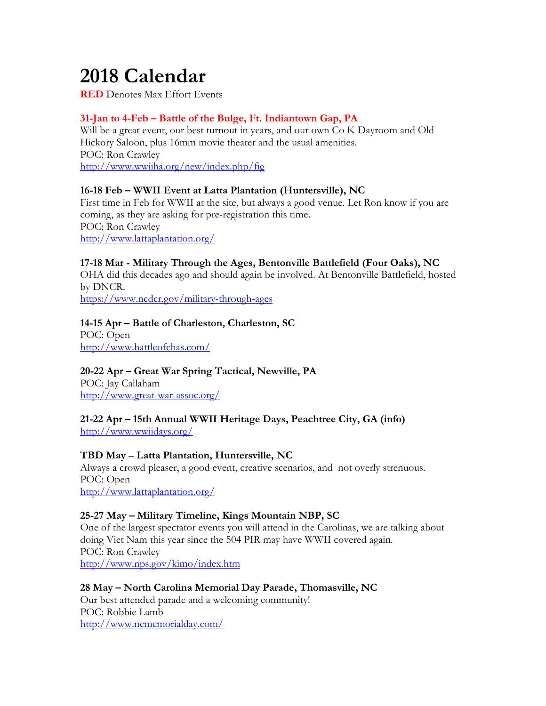# **2018 Calendar**

**RED** Denotes Max Effort Events

# **31-Jan to 4-Feb – Battle of the Bulge, Ft. Indiantown Gap, PA**

Will be a great event, our best turnout in years, and our own Co K Dayroom and Old Hickory Saloon, plus 16mm movie theater and the usual amenities. POC: Ron Crawley http://www.wwiiha.org/new/index.php/fig

## **16-18 Feb – WWII Event at Latta Plantation (Huntersville), NC**

First time in Feb for WWII at the site, but always a good venue. Let Ron know if you are coming, as they are asking for pre-registration this time. POC: Ron Crawley http://www.lattaplantation.org/

# **17-18 Mar - Military Through the Ages, Bentonville Battlefield (Four Oaks), NC**

OHA did this decades ago and should again be involved. At Bentonville Battlefield, hosted by DNCR.

https://www.ncdcr.gov/military-through-ages

# **14-15 Apr – Battle of Charleston, Charleston, SC**

POC: Open http://www.battleofchas.com/

# **20-22 Apr – Great War Spring Tactical, Newville, PA**

POC: Jay Callaham http://www.great-war-assoc.org/

# **21-22 Apr – 15th Annual WWII Heritage Days, Peachtree City, GA (info)**

http://www.wwiidays.org/

# **TBD May** – **Latta Plantation, Huntersville, NC**

Always a crowd pleaser, a good event, creative scenarios, and not overly strenuous. POC: Open http://www.lattaplantation.org/

# **25-27 May – Military Timeline, Kings Mountain NBP, SC**

One of the largest spectator events you will attend in the Carolinas, we are talking about doing Viet Nam this year since the 504 PIR may have WWII covered again. POC: Ron Crawley http://www.nps.gov/kimo/index.htm

#### **28 May – North Carolina Memorial Day Parade, Thomasville, NC** Our best attended parade and a welcoming community! POC: Robbie Lamb http://www.ncmemorialday.com/